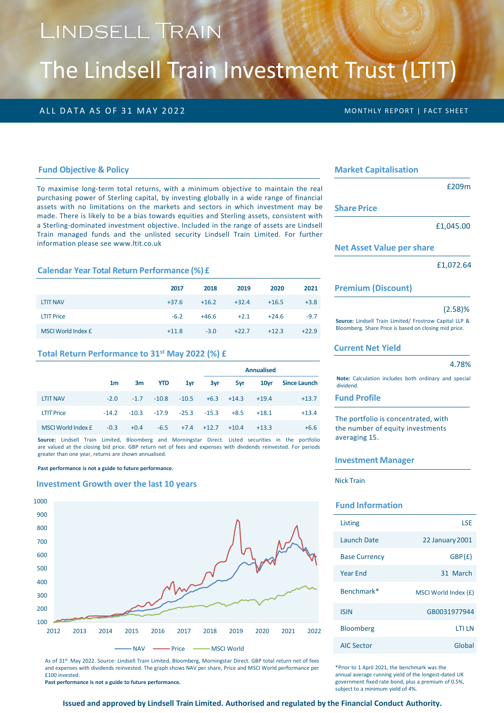# LINDSELL TRAIN

# The Lindsell Train Investment Trust (LTIT)

## ALL DATA AS OF 31 MAY 2022 **MONTHLY REPORT | FACT SHEET**

#### **Fund Objective & Policy**

To maximise long-term total returns, with a minimum objective to maintain the real purchasing power of Sterling capital, by investing globally in a wide range of financial assets with no limitations on the markets and sectors in which investment may be made. There is likely to be a bias towards equities and Sterling assets, consistent with a Sterling-dominated investment objective. Included in the range of assets are Lindsell Train managed funds and the unlisted security Lindsell Train Limited. For further information please see www.ltit.co.uk

#### **Calendar Year Total Return Performance (%) £**

|                    | 2017    | 2018    | 2019    | 2020    | 2021    |
|--------------------|---------|---------|---------|---------|---------|
| <b>LTIT NAV</b>    | $+37.6$ | $+16.2$ | $+32.4$ | $+16.5$ | $+3.8$  |
| <b>LTIT Price</b>  | $-6.2$  | $+46.6$ | $+2.1$  | $+24.6$ | $-9.7$  |
| MSCI World Index £ | $+11.8$ | $-3.0$  | $+22.7$ | $+12.3$ | $+22.9$ |

#### **Total Return Performance to 31st May 2022 (%) £**

|                    |                |        |                                 |         |                | <b>Annualised</b> |                  |                     |
|--------------------|----------------|--------|---------------------------------|---------|----------------|-------------------|------------------|---------------------|
|                    | 1 <sub>m</sub> | 3m     | YTD                             | 1yr     | 3yr            | 5yr               | 10 <sub>vr</sub> | <b>Since Launch</b> |
| <b>LTIT NAV</b>    | $-2.0$         | $-1.7$ | $-10.8$                         | $-10.5$ |                | $+6.3 +14.3$      | $+19.4$          | $+13.7$             |
| <b>LTIT Price</b>  | $-14.2$        |        | $-10.3$ $-17.9$ $-25.3$ $-15.3$ |         |                | $+8.5$            | $+18.1$          | $+13.4$             |
| MSCI World Index £ | $-0.3$         | $+0.4$ | $-6.5$                          |         | $+7.4$ $+12.7$ | $+10.4$           | $+13.3$          | $+6.6$              |

**Source:** Lindsell Train Limited, Bloomberg and Morningstar Direct. Listed securities in the portfolio are valued at the closing bid price. GBP return net of fees and expenses with dividends reinvested. For periods greater than one year, returns are shown annualised.

#### **Past performance is not a guide to future performance.**

#### **Investment Growth over the last 10 years**



As of 31st May 2022. Source: Lindsell Train Limited, Bloomberg, Morningstar Direct. GBP total return net of fees and expenses with dividends reinvested. The graph shows NAV per share, Price and MSCI World performance per £100 invested.

**Past performance is not a guide to future performance.**

#### **Market Capitalisation**

£209m

**Share Price**

£1,045.00

#### **Net Asset Value per share**

£1,072.64

#### **Premium (Discount)**

#### (2.58)%

**Source:** Lindsell Train Limited/ Frostrow Capital LLP & Bloomberg. Share Price is based on closing mid price.

#### **Current Net Yield**

#### 4.78%

**Note:** Calculation includes both ordinary and special dividend.

## **Fund Profile**

The portfolio is concentrated, with the number of equity investments averaging 15.

#### **Investment Manager**

Nick Train

## **Fund Information**

| Listing              | I SF                   |
|----------------------|------------------------|
| Launch Date          | <b>22 January 2001</b> |
| <b>Base Currency</b> | GBP(E)                 |
| <b>Year End</b>      | 31 March               |
| Benchmark*           | MSCI World Index (£)   |
| <b>ISIN</b>          | GB0031977944           |
| <b>Bloomberg</b>     | <b>LTI LN</b>          |
| AIC Sector           | Global                 |

\*Prior to 1 April 2021, the benchmark was the annual average running yield of the longest-dated UK government fixed rate bond, plus a premium of 0.5%, subject to a minimum yield of 4%.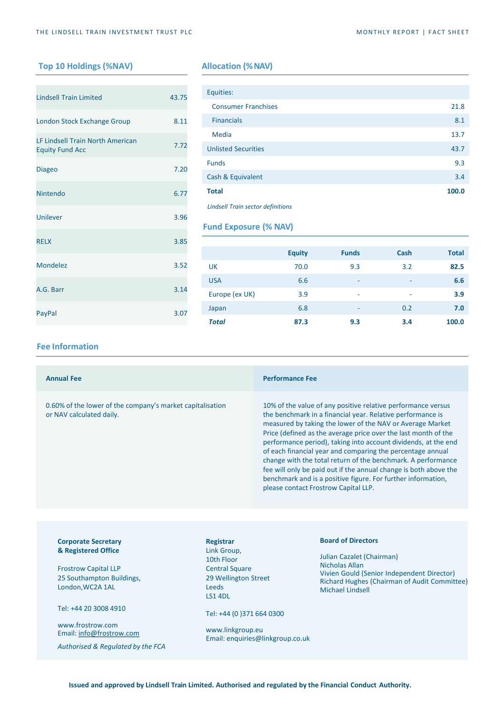## **Top 10 Holdings (%NAV) Allocation (%NAV)**

| <b>Lindsell Train Limited</b>                              | 43.75 |
|------------------------------------------------------------|-------|
| London Stock Exchange Group                                | 8.11  |
| LF Lindsell Train North American<br><b>Equity Fund Acc</b> | 7.72  |
| <b>Diageo</b>                                              | 7.20  |
| Nintendo                                                   | 6.77  |
| Unilever                                                   | 3.96  |
| <b>RELX</b>                                                | 3.85  |
| Mondelez                                                   | 3.52  |
| A.G. Barr                                                  | 3.14  |
| PayPal                                                     | 3.07  |

| Equities:                  |       |
|----------------------------|-------|
| <b>Consumer Franchises</b> | 21.8  |
| <b>Financials</b>          | 8.1   |
| <b>Media</b>               | 13.7  |
| <b>Unlisted Securities</b> | 43.7  |
| <b>Funds</b>               | 9.3   |
| Cash & Equivalent          | 3.4   |
| <b>Total</b>               | 100.0 |

*Lindsell Train sector definitions*

## **Fund Exposure (% NAV)**

|                | <b>Equity</b> | <b>Funds</b> | Cash                     | <b>Total</b> |
|----------------|---------------|--------------|--------------------------|--------------|
| UK             | 70.0          | 9.3          | 3.2                      | 82.5         |
| <b>USA</b>     | 6.6           | ۰            | $\overline{\phantom{a}}$ | 6.6          |
| Europe (ex UK) | 3.9           | ۰            | ٠                        | 3.9          |
| Japan          | 6.8           | ۰            | 0.2                      | 7.0          |
| <b>Total</b>   | 87.3          | 9.3          | 3.4                      | 100.0        |

### **Fee Information**

| <b>Annual Fee</b>                                                                     |           | <b>Performance Fee</b>                                                                                                                                                                                                                                                                                                                                                                                                                                                                                                                                                                                                                |
|---------------------------------------------------------------------------------------|-----------|---------------------------------------------------------------------------------------------------------------------------------------------------------------------------------------------------------------------------------------------------------------------------------------------------------------------------------------------------------------------------------------------------------------------------------------------------------------------------------------------------------------------------------------------------------------------------------------------------------------------------------------|
| 0.60% of the lower of the company's market capitalisation<br>or NAV calculated daily. |           | 10% of the value of any positive relative performance versus<br>the benchmark in a financial year. Relative performance is<br>measured by taking the lower of the NAV or Average Market<br>Price (defined as the average price over the last month of the<br>performance period), taking into account dividends, at the end<br>of each financial year and comparing the percentage annual<br>change with the total return of the benchmark. A performance<br>fee will only be paid out if the annual change is both above the<br>benchmark and is a positive figure. For further information,<br>please contact Frostrow Capital LLP. |
|                                                                                       |           |                                                                                                                                                                                                                                                                                                                                                                                                                                                                                                                                                                                                                                       |
| <b>Corporate Secretary</b>                                                            | Registrar | <b>Board of Directors</b>                                                                                                                                                                                                                                                                                                                                                                                                                                                                                                                                                                                                             |

## **& Registered Office**

Frostrow Capital LLP 25 Southampton Buildings, London,WC2A 1AL

Tel: +44 20 3008 4910

www.frostrow.com Email: [info@frostrow.com](mailto:info@frostrow.com)

*Authorised & Regulated by the FCA*

### Link Group, 10th Floor Central Square 29 Wellington Street Leeds LS1 4DL

Tel: +44 (0 )371 664 0300

www.linkgroup.eu Email: enquiries@linkgroup.co.uk Julian Cazalet (Chairman) Nicholas Allan Vivien Gould (Senior Independent Director) Richard Hughes (Chairman of Audit Committee) Michael Lindsell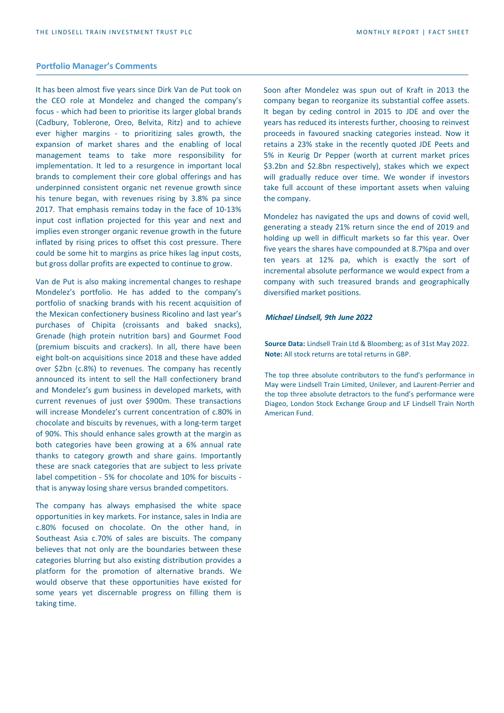#### **Portfolio Manager's Comments**

It has been almost five years since Dirk Van de Put took on the CEO role at Mondelez and changed the company's focus - which had been to prioritise its larger global brands (Cadbury, Toblerone, Oreo, Belvita, Ritz) and to achieve ever higher margins - to prioritizing sales growth, the expansion of market shares and the enabling of local management teams to take more responsibility for implementation. It led to a resurgence in important local brands to complement their core global offerings and has underpinned consistent organic net revenue growth since his tenure began, with revenues rising by 3.8% pa since 2017. That emphasis remains today in the face of 10-13% input cost inflation projected for this year and next and implies even stronger organic revenue growth in the future inflated by rising prices to offset this cost pressure. There could be some hit to margins as price hikes lag input costs, but gross dollar profits are expected to continue to grow.

Van de Put is also making incremental changes to reshape Mondelez's portfolio. He has added to the company's portfolio of snacking brands with his recent acquisition of the Mexican confectionery business Ricolino and last year's purchases of Chipita (croissants and baked snacks), Grenade (high protein nutrition bars) and Gourmet Food (premium biscuits and crackers). In all, there have been eight bolt-on acquisitions since 2018 and these have added over \$2bn (c.8%) to revenues. The company has recently announced its intent to sell the Hall confectionery brand and Mondelez's gum business in developed markets, with current revenues of just over \$900m. These transactions will increase Mondelez's current concentration of c.80% in chocolate and biscuits by revenues, with a long-term target of 90%. This should enhance sales growth at the margin as both categories have been growing at a 6% annual rate thanks to category growth and share gains. Importantly these are snack categories that are subject to less private label competition - 5% for chocolate and 10% for biscuits that is anyway losing share versus branded competitors.

The company has always emphasised the white space opportunities in key markets. For instance, sales in India are c.80% focused on chocolate. On the other hand, in Southeast Asia c.70% of sales are biscuits. The company believes that not only are the boundaries between these categories blurring but also existing distribution provides a platform for the promotion of alternative brands. We would observe that these opportunities have existed for some years yet discernable progress on filling them is taking time.

Soon after Mondelez was spun out of Kraft in 2013 the company began to reorganize its substantial coffee assets. It began by ceding control in 2015 to JDE and over the years has reduced its interests further, choosing to reinvest proceeds in favoured snacking categories instead. Now it retains a 23% stake in the recently quoted JDE Peets and 5% in Keurig Dr Pepper (worth at current market prices \$3.2bn and \$2.8bn respectively), stakes which we expect will gradually reduce over time. We wonder if investors take full account of these important assets when valuing the company.

Mondelez has navigated the ups and downs of covid well, generating a steady 21% return since the end of 2019 and holding up well in difficult markets so far this year. Over five years the shares have compounded at 8.7%pa and over ten years at 12% pa, which is exactly the sort of incremental absolute performance we would expect from a company with such treasured brands and geographically diversified market positions.

#### *Michael Lindsell, 9th June 2022*

**Source Data:** Lindsell Train Ltd & Bloomberg; as of 31st May 2022. **Note:** All stock returns are total returns in GBP.

The top three absolute contributors to the fund's performance in May were Lindsell Train Limited, Unilever, and Laurent-Perrier and the top three absolute detractors to the fund's performance were Diageo, London Stock Exchange Group and LF Lindsell Train North American Fund.